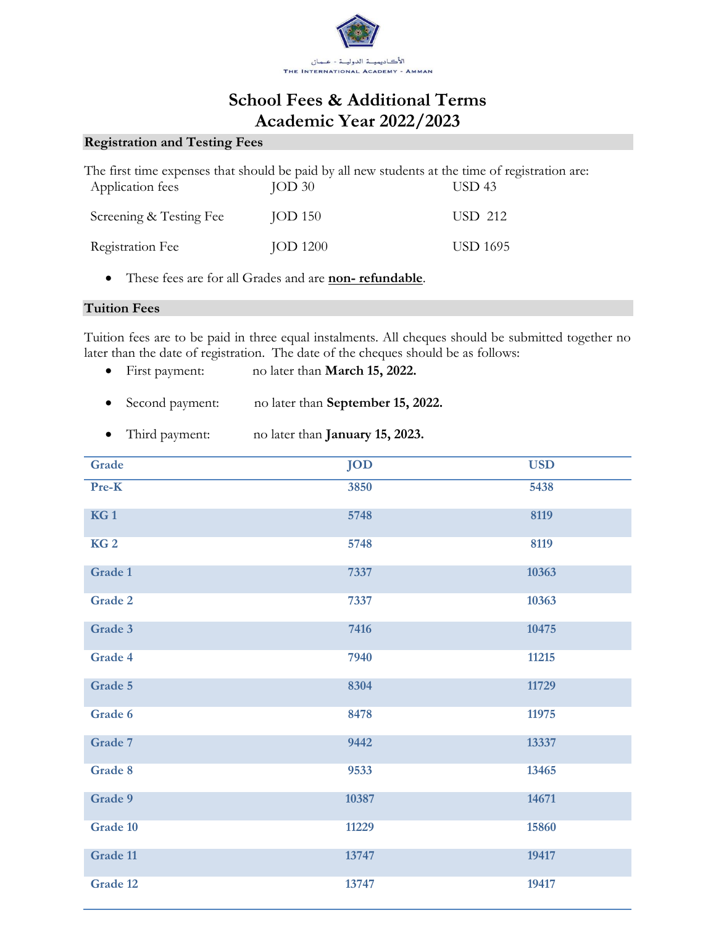

# **School Fees & Additional Terms Academic Year 2022/2023**

### **Registration and Testing Fees**

|                         | The first time expenses that should be paid by all new students at the time of registration are: |                   |
|-------------------------|--------------------------------------------------------------------------------------------------|-------------------|
| Application fees        | JOD <sub>30</sub>                                                                                | USD <sub>43</sub> |
| Screening & Testing Fee | JOD 150                                                                                          | USD 212           |
| Registration Fee        | <b>JOD 1200</b>                                                                                  | <b>USD 1695</b>   |

• These fees are for all Grades and are **non- refundable**.

#### **Tuition Fees**

Tuition fees are to be paid in three equal instalments. All cheques should be submitted together no later than the date of registration. The date of the cheques should be as follows:

- First payment: no later than **March 15, 2022.**
- Second payment: no later than **September 15, 2022.**
- Third payment: no later than **January 15, 2023.**

| Grade           | <b>JOD</b> | <b>USD</b> |
|-----------------|------------|------------|
| Pre-K           | 3850       | 5438       |
| KG <sub>1</sub> | 5748       | 8119       |
| KG <sub>2</sub> | 5748       | 8119       |
| Grade 1         | 7337       | 10363      |
| Grade 2         | 7337       | 10363      |
| Grade 3         | 7416       | 10475      |
| Grade 4         | 7940       | 11215      |
| Grade 5         | 8304       | 11729      |
| Grade 6         | 8478       | 11975      |
| Grade 7         | 9442       | 13337      |
| Grade 8         | 9533       | 13465      |
| Grade 9         | 10387      | 14671      |
| Grade 10        | 11229      | 15860      |
| Grade 11        | 13747      | 19417      |
| Grade 12        | 13747      | 19417      |